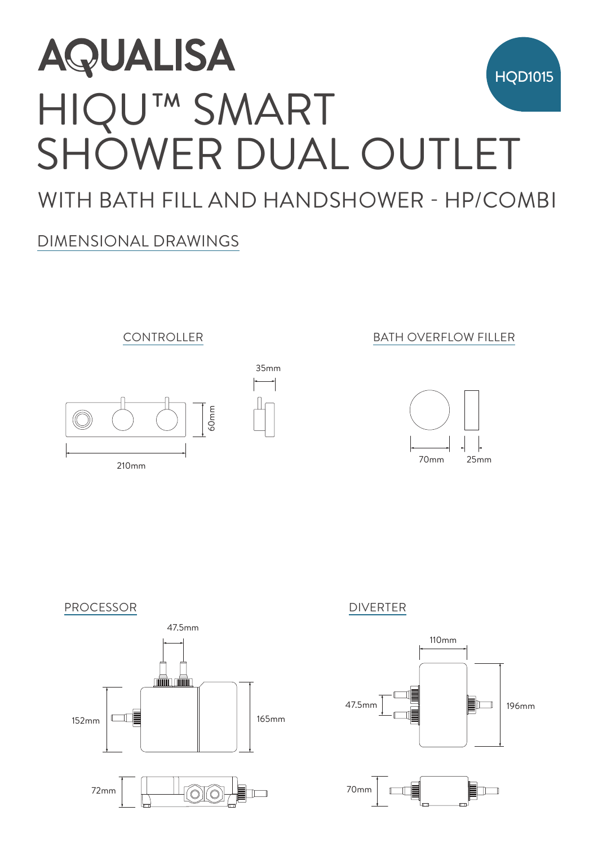# HIQU™ SMART SHOWER DUAL OUTLET WITH BATH FILL AND HANDSHOWER - HP/COMBI HQD1015 **QUALISA<br>HOWER DUAL OU<br>TH BATH FILL AND HANDSHOWE<br>KENSIONAL DRAWINGS<br>CONTROLLER<br>CONTROLLER<br>CONTROLLER** AQUALISA 55mm

35mm

## DIMENSIONAL DRAWINGS



210mm

### **210mm CONTROLLER BATH OVERFLOW FILLER**





72mm 70  $\Box$